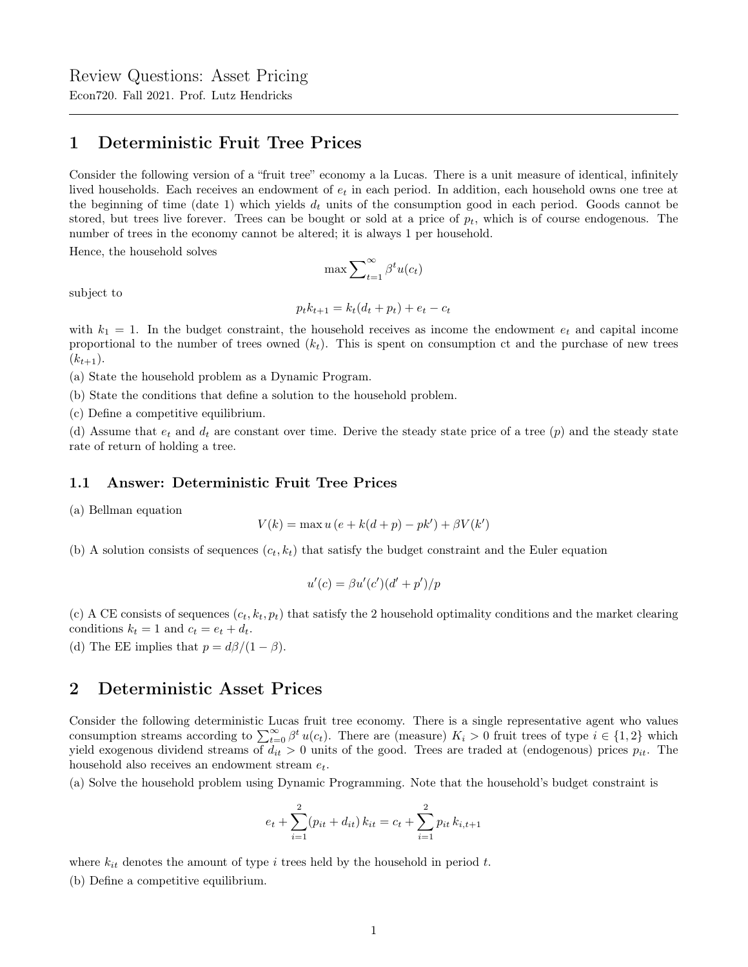## 1 Deterministic Fruit Tree Prices

Consider the following version of a "fruit tree" economy a la Lucas. There is a unit measure of identical, infinitely lived households. Each receives an endowment of  $e_t$  in each period. In addition, each household owns one tree at the beginning of time (date 1) which yields  $d_t$  units of the consumption good in each period. Goods cannot be stored, but trees live forever. Trees can be bought or sold at a price of  $p_t$ , which is of course endogenous. The number of trees in the economy cannot be altered; it is always 1 per household.

Hence, the household solves

$$
\max \sum\nolimits_{t=1}^\infty \beta^t u(c_t)
$$

subject to

$$
p_t k_{t+1} = k_t (d_t + p_t) + e_t - c_t
$$

with  $k_1 = 1$ . In the budget constraint, the household receives as income the endowment  $e_t$  and capital income proportional to the number of trees owned  $(k<sub>t</sub>)$ . This is spent on consumption ct and the purchase of new trees  $(k_{t+1}).$ 

(a) State the household problem as a Dynamic Program.

(b) State the conditions that define a solution to the household problem.

(c) Define a competitive equilibrium.

(d) Assume that  $e_t$  and  $d_t$  are constant over time. Derive the steady state price of a tree  $(p)$  and the steady state rate of return of holding a tree.

## 1.1 Answer: Deterministic Fruit Tree Prices

(a) Bellman equation

$$
V(k) = \max u (e + k(d + p) - pk') + \beta V(k')
$$

(b) A solution consists of sequences  $(c_t, k_t)$  that satisfy the budget constraint and the Euler equation

$$
u'(c) = \beta u'(c')(d' + p')/p
$$

(c) A CE consists of sequences  $(c_t, k_t, p_t)$  that satisfy the 2 household optimality conditions and the market clearing conditions  $k_t = 1$  and  $c_t = e_t + d_t$ .

(d) The EE implies that  $p = d\beta/(1 - \beta)$ .

## 2 Deterministic Asset Prices

Consider the following deterministic Lucas fruit tree economy. There is a single representative agent who values consumption streams according to  $\sum_{t=0}^{\infty} \beta^t u(c_t)$ . There are (measure)  $K_i > 0$  fruit trees of type  $i \in \{1,2\}$  which yield exogenous dividend streams of  $d_{it} > 0$  units of the good. Trees are traded at (endogenous) prices  $p_{it}$ . The household also receives an endowment stream  $e_t$ .

(a) Solve the household problem using Dynamic Programming. Note that the household's budget constraint is

$$
e_t + \sum_{i=1}^{2} (p_{it} + d_{it}) k_{it} = c_t + \sum_{i=1}^{2} p_{it} k_{i,t+1}
$$

where  $k_{it}$  denotes the amount of type i trees held by the household in period t.

(b) Define a competitive equilibrium.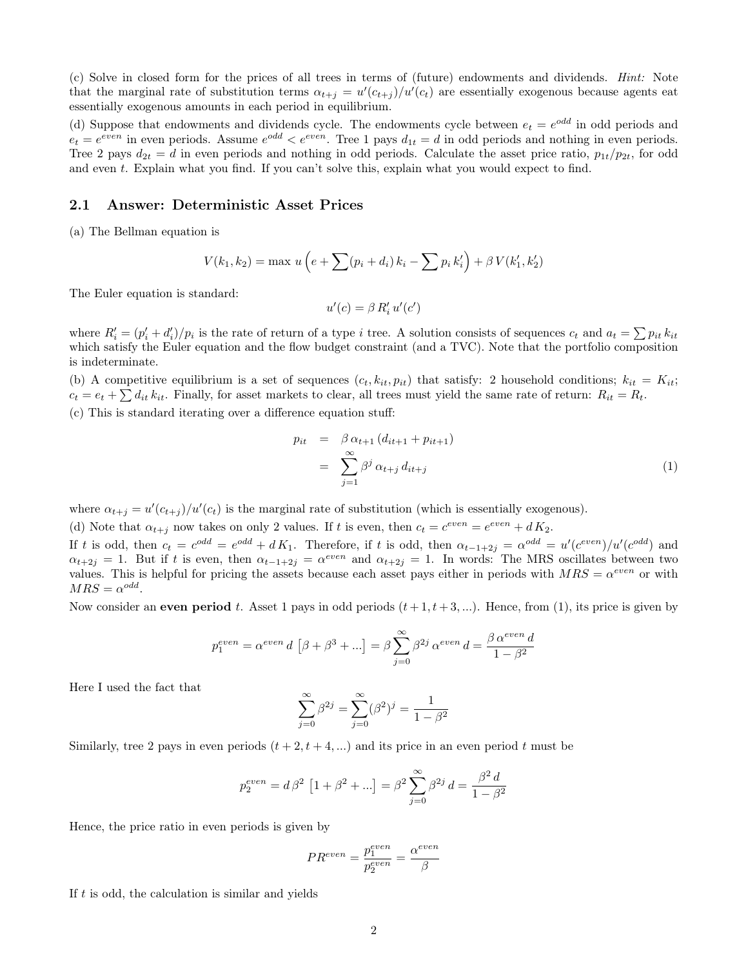(c) Solve in closed form for the prices of all trees in terms of (future) endowments and dividends. Hint: Note that the marginal rate of substitution terms  $\alpha_{t+j} = u'(c_{t+j})/u'(c_t)$  are essentially exogenous because agents eat essentially exogenous amounts in each period in equilibrium.

(d) Suppose that endowments and dividends cycle. The endowments cycle between  $e_t = e^{odd}$  in odd periods and  $e_t = e^{even}$  in even periods. Assume  $e^{odd} < e^{even}$ . Tree 1 pays  $d_{1t} = d$  in odd periods and nothing in even periods. Tree 2 pays  $d_{2t} = d$  in even periods and nothing in odd periods. Calculate the asset price ratio,  $p_{1t}/p_{2t}$ , for odd and even t. Explain what you find. If you can't solve this, explain what you would expect to find.

## 2.1 Answer: Deterministic Asset Prices

(a) The Bellman equation is

$$
V(k_1, k_2) = \max u \left( e + \sum (p_i + d_i) k_i - \sum p_i k'_i \right) + \beta V(k'_1, k'_2)
$$

The Euler equation is standard:

$$
u'(c) = \beta R'_i u'(c')
$$

where  $R_i' = (p_i' + d_i')/p_i$  is the rate of return of a type i tree. A solution consists of sequences  $c_t$  and  $a_t = \sum p_{it} k_{it}$ which satisfy the Euler equation and the flow budget constraint (and a TVC). Note that the portfolio composition is indeterminate.

(b) A competitive equilibrium is a set of sequences  $(c_t, k_{it}, p_{it})$  that satisfy: 2 household conditions;  $k_{it} = K_{it}$ ;  $c_t = e_t + \sum d_{it} k_{it}$ . Finally, for asset markets to clear, all trees must yield the same rate of return:  $R_{it} = R_t$ . (c) This is standard iterating over a difference equation stuff:

$$
p_{it} = \beta \alpha_{t+1} (d_{it+1} + p_{it+1})
$$
  
= 
$$
\sum_{j=1}^{\infty} \beta^j \alpha_{t+j} d_{it+j}
$$
 (1)

where  $\alpha_{t+j} = u'(c_{t+j})/u'(c_t)$  is the marginal rate of substitution (which is essentially exogenous).

(d) Note that  $\alpha_{t+j}$  now takes on only 2 values. If t is even, then  $c_t = c^{even} = e^{even} + dK_2$ .

If t is odd, then  $c_t = c^{odd} = e^{odd} + dK_1$ . Therefore, if t is odd, then  $\alpha_{t-1+2j} = \alpha^{odd} = u'(c^{even})/u'(c^{odd})$  and  $\alpha_{t+2j} = 1$ . But if t is even, then  $\alpha_{t-1+2j} = \alpha^{even}$  and  $\alpha_{t+2j} = 1$ . In words: The MRS oscillates between two values. This is helpful for pricing the assets because each asset pays either in periods with  $MRS = \alpha^{even}$  or with  $MRS = \alpha^{odd}.$ 

Now consider an even period t. Asset 1 pays in odd periods  $(t+1, t+3,...)$ . Hence, from (1), its price is given by

$$
p_1^{even} = \alpha^{even} d \left[\beta + \beta^3 + \ldots \right] = \beta \sum_{j=0}^{\infty} \beta^{2j} \alpha^{even} d = \frac{\beta \alpha^{even} d}{1 - \beta^2}
$$

Here I used the fact that

$$
\sum_{j=0}^{\infty} \beta^{2j} = \sum_{j=0}^{\infty} (\beta^2)^j = \frac{1}{1 - \beta^2}
$$

Similarly, tree 2 pays in even periods  $(t + 2, t + 4, ...)$  and its price in an even period t must be

$$
p_2^{even} = d \, \beta^2 \, \left[ 1 + \beta^2 + \ldots \right] = \beta^2 \sum_{j=0}^\infty \beta^{2j} \, d = \frac{\beta^2 \, d}{1 - \beta^2}
$$

Hence, the price ratio in even periods is given by

$$
PR^{even} = \frac{p_1^{even}}{p_2^{even}} = \frac{\alpha^{even}}{\beta}
$$

If  $t$  is odd, the calculation is similar and yields